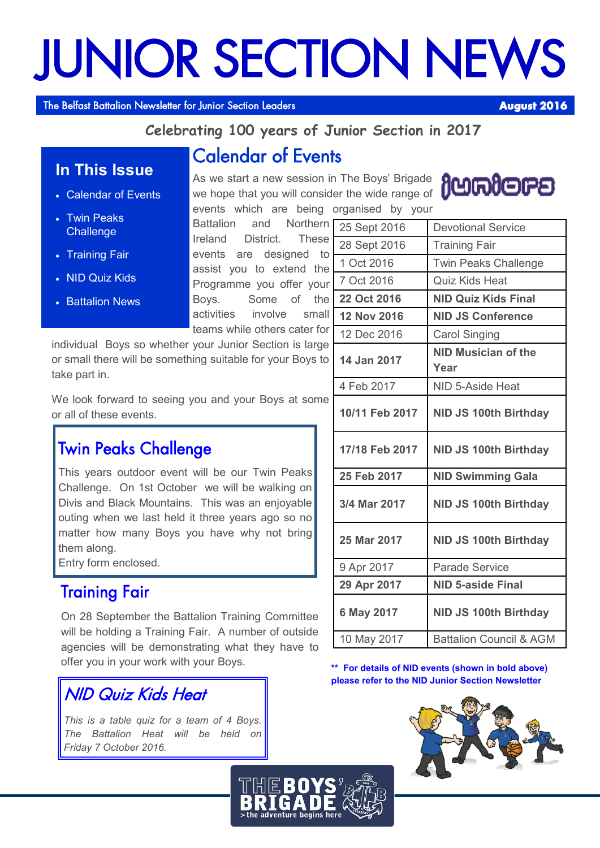# JUNIOR SECTION NEWS

The Belfast Battalion Newsletter for Junior Section Leaders **August 2016** 

**In This Issue**

Calendar of Events

 Twin Peaks **Challenge** 

• Training Fair

NID Quiz Kids

**Battalion News** 

## **Celebrating 100 years of Junior Section in 2017**

# Calendar of Events

As we start a new session in The Boys' Brigade we hope that you will consider the wide range of events which are being organised by your

Battalion and Northern Ireland District. These events are designed to assist you to extend the Programme you offer your Boys. Some of the activities involve small teams while others cater for

individual Boys so whether your Junior Section is large or small there will be something suitable for your Boys to take part in.

We look forward to seeing you and your Boys at some or all of these events.

# Twin Peaks Challenge

This years outdoor event will be our Twin Peaks Challenge. On 1st October we will be walking on Divis and Black Mountains. This was an enjoyable outing when we last held it three years ago so no matter how many Boys you have why not bring them along.

Entry form enclosed.

## Training Fair

On 28 September the Battalion Training Committee will be holding a Training Fair. A number of outside agencies will be demonstrating what they have to offer you in your work with your Boys.

NID Quiz Kids Heat

*This is a table quiz for a team of 4 Boys. The Battalion Heat will be held on Friday 7 October 2016.*

| <b>jumiers</b> |
|----------------|
|----------------|

| 25 Sept 2016       | <b>Devotional Service</b>          |
|--------------------|------------------------------------|
| 28 Sept 2016       | <b>Training Fair</b>               |
| 1 Oct 2016         | <b>Twin Peaks Challenge</b>        |
| 7 Oct 2016         | <b>Quiz Kids Heat</b>              |
| 22 Oct 2016        | <b>NID Quiz Kids Final</b>         |
| <b>12 Nov 2016</b> | <b>NID JS Conference</b>           |
| 12 Dec 2016        | <b>Carol Singing</b>               |
| 14 Jan 2017        | <b>NID Musician of the</b><br>Year |
| 4 Feb 2017         | NID 5-Aside Heat                   |
| 10/11 Feb 2017     | <b>NID JS 100th Birthday</b>       |
| 17/18 Feb 2017     | <b>NID JS 100th Birthday</b>       |
| 25 Feb 2017        | <b>NID Swimming Gala</b>           |
| 3/4 Mar 2017       | <b>NID JS 100th Birthday</b>       |
| 25 Mar 2017        | <b>NID JS 100th Birthday</b>       |
| 9 Apr 2017         | <b>Parade Service</b>              |
| 29 Apr 2017        | <b>NID 5-aside Final</b>           |
| 6 May 2017         | <b>NID JS 100th Birthday</b>       |
| 10 May 2017        | <b>Battalion Council &amp; AGM</b> |

**\*\* For details of NID events (shown in bold above) please refer to the NID Junior Section Newsletter**